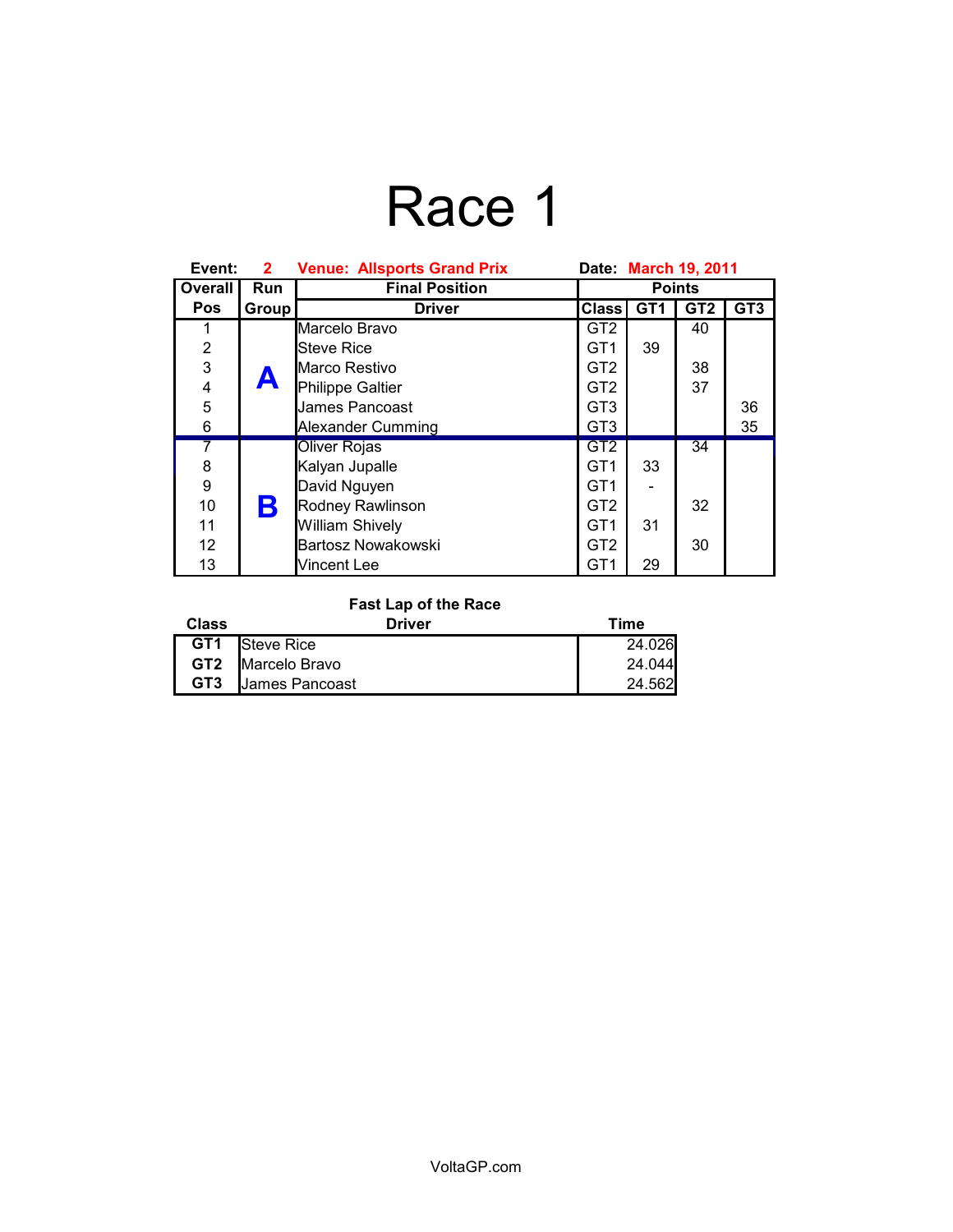# Race 1

| Event:         | 2 <sup>1</sup> | <b>Venue: Allsports Grand Prix</b> | Date: March 19, 2011 |                 |                 |                 |
|----------------|----------------|------------------------------------|----------------------|-----------------|-----------------|-----------------|
| Overall        | Run            | <b>Final Position</b>              | <b>Points</b>        |                 |                 |                 |
| <b>Pos</b>     | Group          | <b>Driver</b>                      | <b>Class</b>         | GT <sub>1</sub> | GT <sub>2</sub> | GT <sub>3</sub> |
| 1              |                | Marcelo Bravo                      | GT <sub>2</sub>      |                 | 40              |                 |
| $\overline{2}$ |                | <b>Steve Rice</b>                  | GT <sub>1</sub>      | 39              |                 |                 |
| $\overline{3}$ |                | Marco Restivo                      | GT <sub>2</sub>      |                 | 38              |                 |
| 4              | A              | Philippe Galtier                   | GT <sub>2</sub>      |                 | 37              |                 |
| 5              |                | James Pancoast                     | GT <sub>3</sub>      |                 |                 | 36              |
| 6              |                | Alexander Cumming                  | GT <sub>3</sub>      |                 |                 | 35              |
|                |                | <b>Oliver Rojas</b>                | GT <sub>2</sub>      |                 | 34              |                 |
| 8              |                | Kalyan Jupalle                     | GT <sub>1</sub>      | 33              |                 |                 |
| 9              |                | David Nguyen                       | GT <sub>1</sub>      |                 |                 |                 |
| 10             | Β              | Rodney Rawlinson                   | GT <sub>2</sub>      |                 | 32              |                 |
| 11             |                | <b>William Shively</b>             | GT <sub>1</sub>      | 31              |                 |                 |
| 12             |                | Bartosz Nowakowski                 | GT <sub>2</sub>      |                 | 30              |                 |
| 13             |                | Vincent Lee                        | GT <sub>1</sub>      | 29              |                 |                 |

### **Fast Lap of the Race**

| Class           | Driver         | Time   |
|-----------------|----------------|--------|
| GT <sub>1</sub> | Steve Rice     | 24.026 |
| GT2             | Marcelo Bravo  | 24.044 |
| GT <sub>3</sub> | James Pancoast | 24.562 |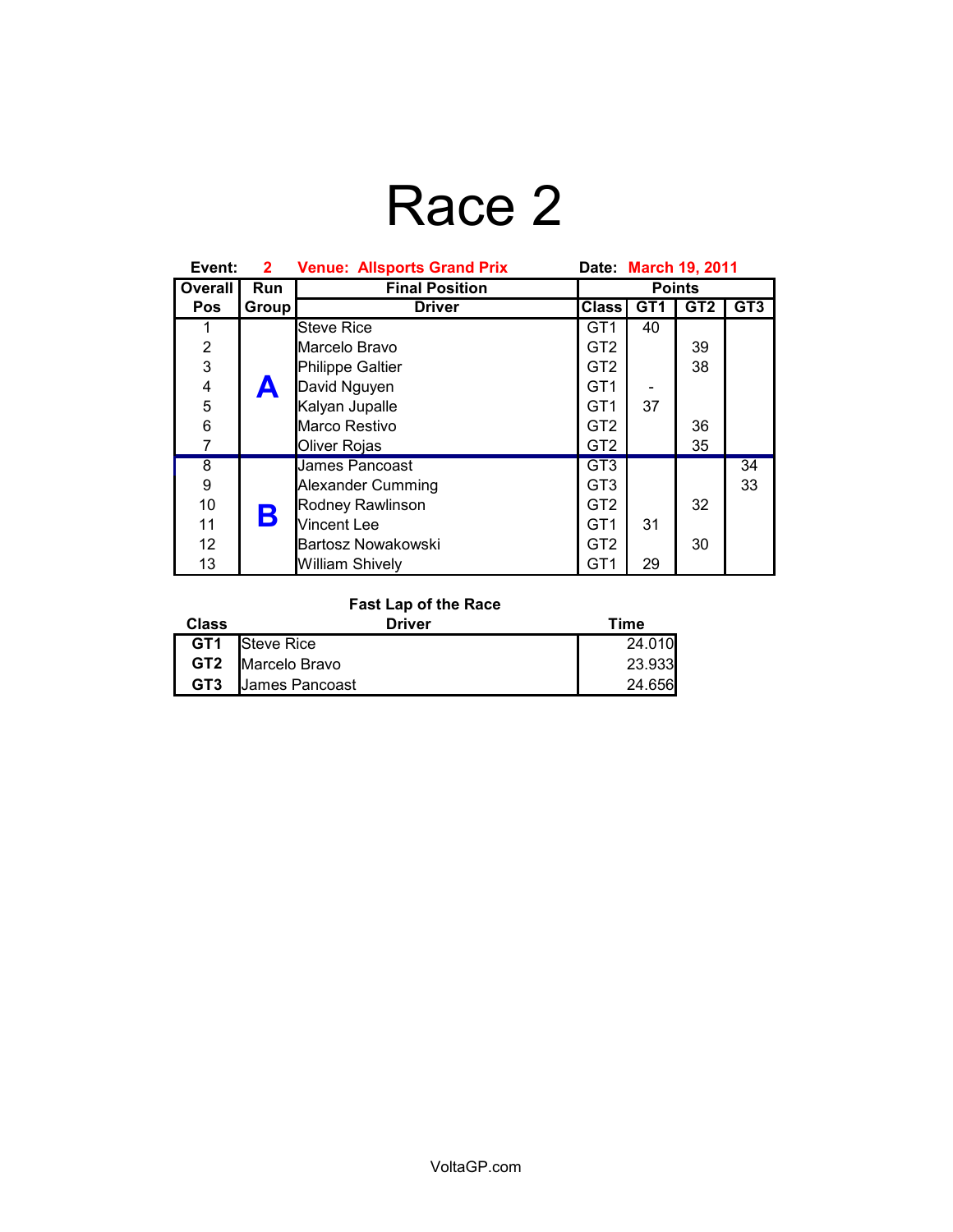## Race 2

| Event:         | $\mathbf{2}^-$ | <b>Venue: Allsports Grand Prix</b> | Date: March 19, 2011 |                 |                 |                 |
|----------------|----------------|------------------------------------|----------------------|-----------------|-----------------|-----------------|
| Overall        | Run            | <b>Final Position</b>              | <b>Points</b>        |                 |                 |                 |
| <b>Pos</b>     | Group          | <b>Driver</b>                      | <b>Class</b>         | GT <sub>1</sub> | GT <sub>2</sub> | GT <sub>3</sub> |
| 1              |                | Steve Rice                         | GT <sub>1</sub>      | 40              |                 |                 |
| $\overline{2}$ |                | Marcelo Bravo                      | GT <sub>2</sub>      |                 | 39              |                 |
| $\overline{3}$ |                | Philippe Galtier                   | GT <sub>2</sub>      |                 | 38              |                 |
| 4              | A              | David Nguyen                       | GT <sub>1</sub>      |                 |                 |                 |
| 5              |                | Kalyan Jupalle                     | GT <sub>1</sub>      | 37              |                 |                 |
| 6              |                | Marco Restivo                      | GT <sub>2</sub>      |                 | 36              |                 |
| 7              |                | Oliver Rojas                       | GT <sub>2</sub>      |                 | 35              |                 |
| $\overline{8}$ |                | Uames Pancoast                     | GT <sub>3</sub>      |                 |                 | $\overline{34}$ |
| 9              |                | Alexander Cumming                  | GT <sub>3</sub>      |                 |                 | 33              |
| 10             |                | Rodney Rawlinson                   | GT <sub>2</sub>      |                 | 32              |                 |
| 11             | Β              | Vincent Lee                        | GT <sub>1</sub>      | 31              |                 |                 |
| 12             |                | Bartosz Nowakowski                 | GT <sub>2</sub>      |                 | 30              |                 |
| 13             |                | <b>William Shively</b>             | GT <sub>1</sub>      | 29              |                 |                 |

### **Fast Lap of the Race**

| <b>Class</b>    | Driver                | Time   |
|-----------------|-----------------------|--------|
|                 | <b>GT1</b> Steve Rice | 24.010 |
|                 | GT2 Marcelo Bravo     | 23.933 |
| GT <sub>3</sub> | James Pancoast        | 24.656 |